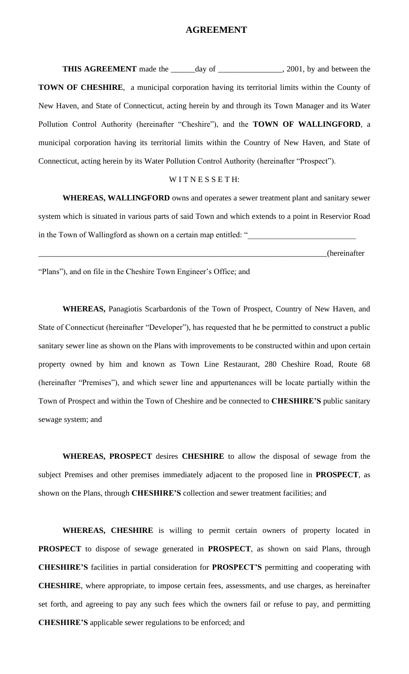### **AGREEMENT**

**THIS AGREEMENT** made the \_\_\_\_\_day of \_\_\_\_\_\_\_\_\_\_\_\_\_\_, 2001, by and between the **TOWN OF CHESHIRE**, a municipal corporation having its territorial limits within the County of New Haven, and State of Connecticut, acting herein by and through its Town Manager and its Water Pollution Control Authority (hereinafter "Cheshire"), and the **TOWN OF WALLINGFORD**, a municipal corporation having its territorial limits within the Country of New Haven, and State of Connecticut, acting herein by its Water Pollution Control Authority (hereinafter "Prospect").

#### WITNESSETH:

**WHEREAS, WALLINGFORD** owns and operates a sewer treatment plant and sanitary sewer system which is situated in various parts of said Town and which extends to a point in Reservior Road in the Town of Wallingford as shown on a certain map entitled: "

\_\_\_\_\_\_\_\_\_\_\_\_\_\_\_\_\_\_\_\_\_\_\_\_\_\_\_\_\_\_\_\_\_\_\_\_\_\_\_\_\_\_\_\_\_\_\_\_\_\_\_\_\_\_\_\_\_\_\_\_\_\_\_\_\_\_\_\_\_\_\_\_(hereinafter

"Plans"), and on file in the Cheshire Town Engineer's Office; and

**WHEREAS,** Panagiotis Scarbardonis of the Town of Prospect, Country of New Haven, and State of Connecticut (hereinafter "Developer"), has requested that he be permitted to construct a public sanitary sewer line as shown on the Plans with improvements to be constructed within and upon certain property owned by him and known as Town Line Restaurant, 280 Cheshire Road, Route 68 (hereinafter "Premises"), and which sewer line and appurtenances will be locate partially within the Town of Prospect and within the Town of Cheshire and be connected to **CHESHIRE'S** public sanitary sewage system; and

**WHEREAS, PROSPECT** desires **CHESHIRE** to allow the disposal of sewage from the subject Premises and other premises immediately adjacent to the proposed line in **PROSPECT**, as shown on the Plans, through **CHESHIRE'S** collection and sewer treatment facilities; and

**WHEREAS, CHESHIRE** is willing to permit certain owners of property located in **PROSPECT** to dispose of sewage generated in **PROSPECT**, as shown on said Plans, through **CHESHIRE'S** facilities in partial consideration for **PROSPECT'S** permitting and cooperating with **CHESHIRE**, where appropriate, to impose certain fees, assessments, and use charges, as hereinafter set forth, and agreeing to pay any such fees which the owners fail or refuse to pay, and permitting **CHESHIRE'S** applicable sewer regulations to be enforced; and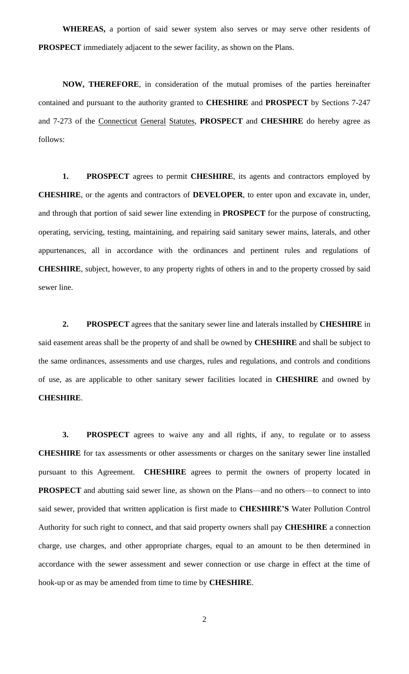**WHEREAS,** a portion of said sewer system also serves or may serve other residents of **PROSPECT** immediately adjacent to the sewer facility, as shown on the Plans.

**NOW, THEREFORE**, in consideration of the mutual promises of the parties hereinafter contained and pursuant to the authority granted to **CHESHIRE** and **PROSPECT** by Sections 7-247 and 7-273 of the Connecticut General Statutes, **PROSPECT** and **CHESHIRE** do hereby agree as follows:

**1. PROSPECT** agrees to permit **CHESHIRE**, its agents and contractors employed by **CHESHIRE**, or the agents and contractors of **DEVELOPER**, to enter upon and excavate in, under, and through that portion of said sewer line extending in **PROSPECT** for the purpose of constructing, operating, servicing, testing, maintaining, and repairing said sanitary sewer mains, laterals, and other appurtenances, all in accordance with the ordinances and pertinent rules and regulations of **CHESHIRE**, subject, however, to any property rights of others in and to the property crossed by said sewer line.

**2. PROSPECT** agrees that the sanitary sewer line and laterals installed by **CHESHIRE** in said easement areas shall be the property of and shall be owned by **CHESHIRE** and shall be subject to the same ordinances, assessments and use charges, rules and regulations, and controls and conditions of use, as are applicable to other sanitary sewer facilities located in **CHESHIRE** and owned by **CHESHIRE**.

**3. PROSPECT** agrees to waive any and all rights, if any, to regulate or to assess **CHESHIRE** for tax assessments or other assessments or charges on the sanitary sewer line installed pursuant to this Agreement. **CHESHIRE** agrees to permit the owners of property located in **PROSPECT** and abutting said sewer line, as shown on the Plans—and no others—to connect to into said sewer, provided that written application is first made to **CHESHIRE'S** Water Pollution Control Authority for such right to connect, and that said property owners shall pay **CHESHIRE** a connection charge, use charges, and other appropriate charges, equal to an amount to be then determined in accordance with the sewer assessment and sewer connection or use charge in effect at the time of hook-up or as may be amended from time to time by **CHESHIRE**.

2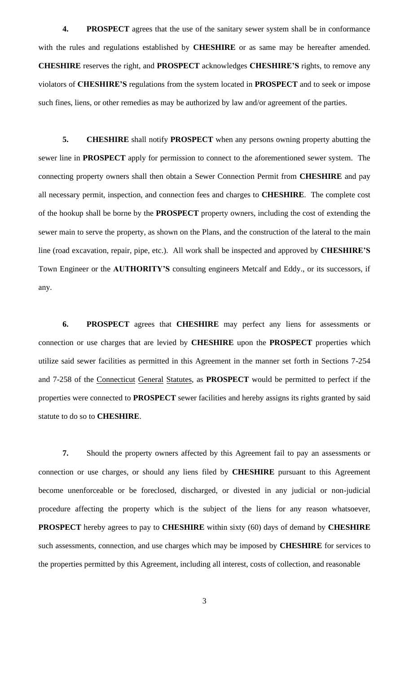**4. PROSPECT** agrees that the use of the sanitary sewer system shall be in conformance with the rules and regulations established by **CHESHIRE** or as same may be hereafter amended. **CHESHIRE** reserves the right, and **PROSPECT** acknowledges **CHESHIRE'S** rights, to remove any violators of **CHESHIRE'S** regulations from the system located in **PROSPECT** and to seek or impose such fines, liens, or other remedies as may be authorized by law and/or agreement of the parties.

**5. CHESHIRE** shall notify **PROSPECT** when any persons owning property abutting the sewer line in **PROSPECT** apply for permission to connect to the aforementioned sewer system. The connecting property owners shall then obtain a Sewer Connection Permit from **CHESHIRE** and pay all necessary permit, inspection, and connection fees and charges to **CHESHIRE**. The complete cost of the hookup shall be borne by the **PROSPECT** property owners, including the cost of extending the sewer main to serve the property, as shown on the Plans, and the construction of the lateral to the main line (road excavation, repair, pipe, etc.). All work shall be inspected and approved by **CHESHIRE'S**  Town Engineer or the **AUTHORITY'S** consulting engineers Metcalf and Eddy., or its successors, if any.

**6. PROSPECT** agrees that **CHESHIRE** may perfect any liens for assessments or connection or use charges that are levied by **CHESHIRE** upon the **PROSPECT** properties which utilize said sewer facilities as permitted in this Agreement in the manner set forth in Sections 7-254 and 7-258 of the Connecticut General Statutes, as **PROSPECT** would be permitted to perfect if the properties were connected to **PROSPECT** sewer facilities and hereby assigns its rights granted by said statute to do so to **CHESHIRE**.

**7.** Should the property owners affected by this Agreement fail to pay an assessments or connection or use charges, or should any liens filed by **CHESHIRE** pursuant to this Agreement become unenforceable or be foreclosed, discharged, or divested in any judicial or non-judicial procedure affecting the property which is the subject of the liens for any reason whatsoever, **PROSPECT** hereby agrees to pay to **CHESHIRE** within sixty (60) days of demand by **CHESHIRE** such assessments, connection, and use charges which may be imposed by **CHESHIRE** for services to the properties permitted by this Agreement, including all interest, costs of collection, and reasonable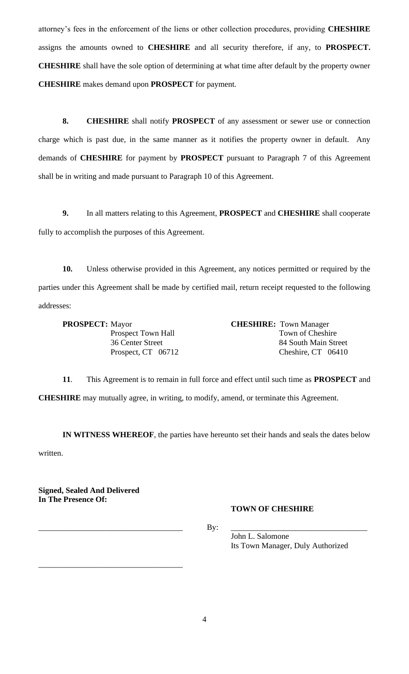attorney's fees in the enforcement of the liens or other collection procedures, providing **CHESHIRE**  assigns the amounts owned to **CHESHIRE** and all security therefore, if any, to **PROSPECT. CHESHIRE** shall have the sole option of determining at what time after default by the property owner **CHESHIRE** makes demand upon **PROSPECT** for payment.

**8. CHESHIRE** shall notify **PROSPECT** of any assessment or sewer use or connection charge which is past due, in the same manner as it notifies the property owner in default. Any demands of **CHESHIRE** for payment by **PROSPECT** pursuant to Paragraph 7 of this Agreement shall be in writing and made pursuant to Paragraph 10 of this Agreement.

**9.** In all matters relating to this Agreement, **PROSPECT** and **CHESHIRE** shall cooperate fully to accomplish the purposes of this Agreement.

**10.** Unless otherwise provided in this Agreement, any notices permitted or required by the parties under this Agreement shall be made by certified mail, return receipt requested to the following addresses:

**PROSPECT:** Mayor **CHESHIRE:** Town Manager

Prospect Town Hall Town of Cheshire 36 Center Street 84 South Main Street Prospect, CT 06712 Cheshire, CT 06410

**11**. This Agreement is to remain in full force and effect until such time as **PROSPECT** and **CHESHIRE** may mutually agree, in writing, to modify, amend, or terminate this Agreement.

**IN WITNESS WHEREOF**, the parties have hereunto set their hands and seals the dates below written.

**Signed, Sealed And Delivered In The Presence Of:**

\_\_\_\_\_\_\_\_\_\_\_\_\_\_\_\_\_\_\_\_\_\_\_\_\_\_\_\_\_\_\_\_\_\_\_\_

# **TOWN OF CHESHIRE**

\_\_\_\_\_\_\_\_\_\_\_\_\_\_\_\_\_\_\_\_\_\_\_\_\_\_\_\_\_\_\_\_\_\_\_\_ By: \_\_\_\_\_\_\_\_\_\_\_\_\_\_\_\_\_\_\_\_\_\_\_\_\_\_\_\_\_\_\_\_\_\_

John L. Salomone Its Town Manager, Duly Authorized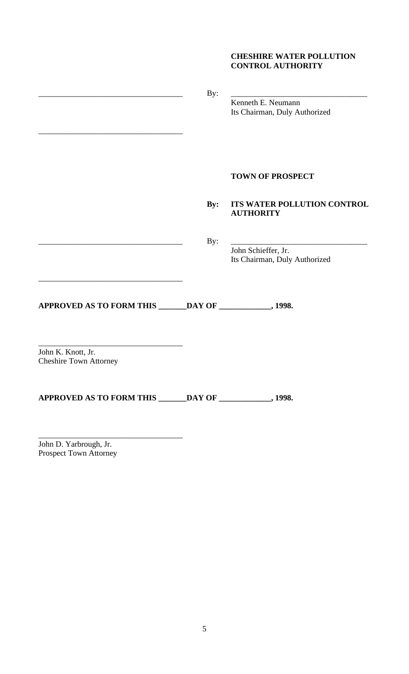# **CHESHIRE WATER POLLUTION CONTROL AUTHORITY**

|                                                           | By:            | Kenneth E. Neumann<br>Its Chairman, Duly Authorized  |
|-----------------------------------------------------------|----------------|------------------------------------------------------|
|                                                           |                | <b>TOWN OF PROSPECT</b>                              |
|                                                           | $\mathbf{By:}$ | ITS WATER POLLUTION CONTROL<br><b>AUTHORITY</b>      |
|                                                           | By:            | John Schieffer, Jr.<br>Its Chairman, Duly Authorized |
| APPROVED AS TO FORM THIS ______DAY OF ___________, 1998.  |                |                                                      |
| John K. Knott, Jr.<br><b>Cheshire Town Attorney</b>       |                |                                                      |
| APPROVED AS TO FORM THIS ______DAY OF ____________, 1998. |                |                                                      |

John D. Yarbrough, Jr. Prospect Town Attorney

\_\_\_\_\_\_\_\_\_\_\_\_\_\_\_\_\_\_\_\_\_\_\_\_\_\_\_\_\_\_\_\_\_\_\_\_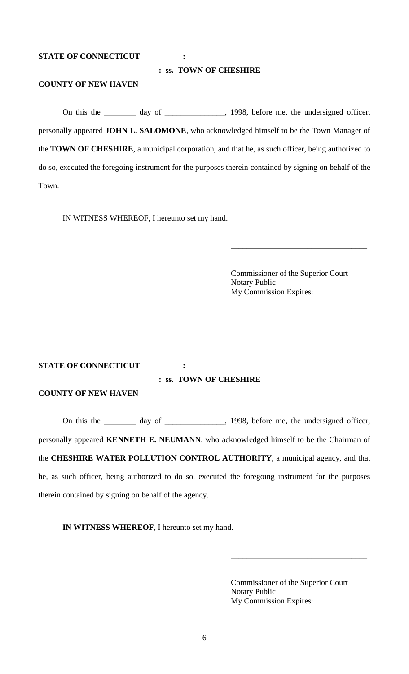#### **STATE OF CONNECTICUT :**

### **: ss. TOWN OF CHESHIRE**

# **COUNTY OF NEW HAVEN**

On this the \_\_\_\_\_\_\_ day of \_\_\_\_\_\_\_\_\_\_\_\_, 1998, before me, the undersigned officer, personally appeared **JOHN L. SALOMONE**, who acknowledged himself to be the Town Manager of the **TOWN OF CHESHIRE**, a municipal corporation, and that he, as such officer, being authorized to do so, executed the foregoing instrument for the purposes therein contained by signing on behalf of the Town.

IN WITNESS WHEREOF, I hereunto set my hand.

Commissioner of the Superior Court Notary Public My Commission Expires:

\_\_\_\_\_\_\_\_\_\_\_\_\_\_\_\_\_\_\_\_\_\_\_\_\_\_\_\_\_\_\_\_\_\_

#### **STATE OF CONNECTICUT :**

### **: ss. TOWN OF CHESHIRE**

## **COUNTY OF NEW HAVEN**

On this the <u>contract day of contract and 1998</u>, before me, the undersigned officer, personally appeared **KENNETH E. NEUMANN**, who acknowledged himself to be the Chairman of the **CHESHIRE WATER POLLUTION CONTROL AUTHORITY**, a municipal agency, and that he, as such officer, being authorized to do so, executed the foregoing instrument for the purposes therein contained by signing on behalf of the agency.

**IN WITNESS WHEREOF**, I hereunto set my hand.

Commissioner of the Superior Court Notary Public My Commission Expires:

\_\_\_\_\_\_\_\_\_\_\_\_\_\_\_\_\_\_\_\_\_\_\_\_\_\_\_\_\_\_\_\_\_\_